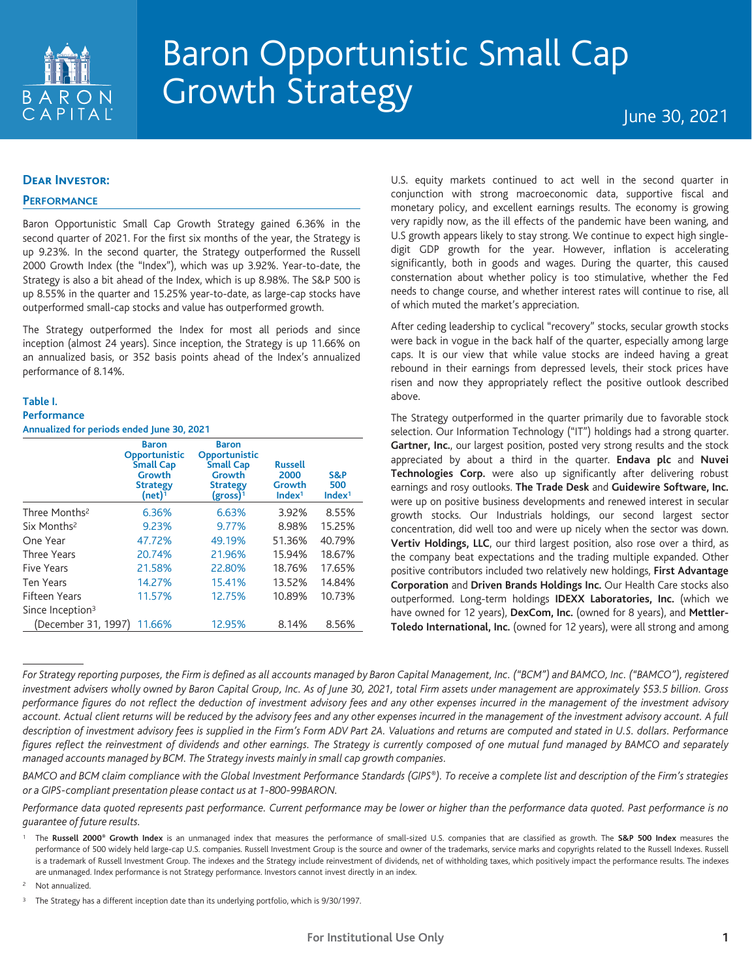

# Baron Opportunistic Small Cap Growth Strategy June 30, 2021

#### **Dear Investor:**

#### **PERFORMANCE**

Baron Opportunistic Small Cap Growth Strategy gained 6.36% in the second quarter of 2021. For the first six months of the year, the Strategy is up 9.23%. In the second quarter, the Strategy outperformed the Russell 2000 Growth Index (the "Index"), which was up 3.92%. Year-to-date, the Strategy is also a bit ahead of the Index, which is up 8.98%. The S&P 500 is up 8.55% in the quarter and 15.25% year-to-date, as large-cap stocks have outperformed small-cap stocks and value has outperformed growth.

The Strategy outperformed the Index for most all periods and since inception (almost 24 years). Since inception, the Strategy is up 11.66% on an annualized basis, or 352 basis points ahead of the Index's annualized performance of 8.14%.

## **Table I. Performance**

**Annualized for periods ended June 30, 2021**

|                              | <b>Baron</b><br>Opportunistic<br><b>Small Cap</b><br>Growth<br><b>Strategy</b><br>$(net)$ <sup>1</sup> | <b>Baron</b><br>Opportunistic<br><b>Small Cap</b><br><b>Growth</b><br><b>Strategy</b><br>$(gross)^1$ | <b>Russell</b><br>2000<br>Growth<br>Index <sup>1</sup> | S&P<br>500<br>Index <sup>1</sup> |
|------------------------------|--------------------------------------------------------------------------------------------------------|------------------------------------------------------------------------------------------------------|--------------------------------------------------------|----------------------------------|
| Three Months <sup>2</sup>    | 6.36%                                                                                                  | 6.63%                                                                                                | 3.92%                                                  | 8.55%                            |
| Six Months <sup>2</sup>      | 9.23%                                                                                                  | 9.77%                                                                                                | 8.98%                                                  | 15.25%                           |
| One Year                     | 47.72%                                                                                                 | 49.19%                                                                                               | 51.36%                                                 | 40.79%                           |
| Three Years                  | 20.74%                                                                                                 | 21.96%                                                                                               | 15.94%                                                 | 18.67%                           |
| Five Years                   | 21.58%                                                                                                 | 22.80%                                                                                               | 18.76%                                                 | 17.65%                           |
| <b>Ten Years</b>             | 14.27%                                                                                                 | 15.41%                                                                                               | 13.52%                                                 | 14.84%                           |
| <b>Fifteen Years</b>         | 11.57%                                                                                                 | 12.75%                                                                                               | 10.89%                                                 | 10.73%                           |
| Since Inception <sup>3</sup> |                                                                                                        |                                                                                                      |                                                        |                                  |
| (December 31, 1997)          | 11.66%                                                                                                 | 12.95%                                                                                               | 8.14%                                                  | 8.56%                            |

U.S. equity markets continued to act well in the second quarter in conjunction with strong macroeconomic data, supportive fiscal and monetary policy, and excellent earnings results. The economy is growing very rapidly now, as the ill effects of the pandemic have been waning, and U.S growth appears likely to stay strong. We continue to expect high singledigit GDP growth for the year. However, inflation is accelerating significantly, both in goods and wages. During the quarter, this caused consternation about whether policy is too stimulative, whether the Fed needs to change course, and whether interest rates will continue to rise, all of which muted the market's appreciation.

After ceding leadership to cyclical "recovery" stocks, secular growth stocks were back in vogue in the back half of the quarter, especially among large caps. It is our view that while value stocks are indeed having a great rebound in their earnings from depressed levels, their stock prices have risen and now they appropriately reflect the positive outlook described above.

The Strategy outperformed in the quarter primarily due to favorable stock selection. Our Information Technology ("IT") holdings had a strong quarter. **Gartner, Inc.**, our largest position, posted very strong results and the stock appreciated by about a third in the quarter. **Endava plc** and **Nuvei Technologies Corp.** were also up significantly after delivering robust earnings and rosy outlooks. **The Trade Desk** and **Guidewire Software, Inc.** were up on positive business developments and renewed interest in secular growth stocks. Our Industrials holdings, our second largest sector concentration, did well too and were up nicely when the sector was down. **Vertiv Holdings, LLC**, our third largest position, also rose over a third, as the company beat expectations and the trading multiple expanded. Other positive contributors included two relatively new holdings, **First Advantage Corporation** and **Driven Brands Holdings Inc.** Our Health Care stocks also outperformed. Long-term holdings **IDEXX Laboratories, Inc.** (which we have owned for 12 years), **DexCom, Inc.** (owned for 8 years), and **Mettler-Toledo International, Inc.** (owned for 12 years), were all strong and among

<sup>2</sup> Not annualized.

For Strategy reporting purposes, the Firm is defined as all accounts managed by Baron Capital Management, Inc. ("BCM") and BAMCO, Inc. ("BAMCO"), registered investment advisers wholly owned by Baron Capital Group, Inc. As of June 30, 2021, total Firm assets under management are approximately \$53.5 billion. Gross performance figures do not reflect the deduction of investment advisory fees and any other expenses incurred in the management of the investment advisory account. Actual client returns will be reduced by the advisory fees and any other expenses incurred in the management of the investment advisory account. A full description of investment advisory fees is supplied in the Firm's Form ADV Part 2A. Valuations and returns are computed and stated in U.S. dollars. Performance figures reflect the reinvestment of dividends and other earnings. The Strategy is currently composed of one mutual fund managed by BAMCO and separately *managed accounts managed by BCM. The Strategy invests mainly in small cap growth companies.*

BAMCO and BCM claim compliance with the Global Investment Performance Standards (GIPS®). To receive a complete list and description of the Firm's strategies *or a GIPS-compliant presentation please contact us at 1-800-99BARON.*

Performance data quoted represents past performance. Current performance may be lower or higher than the performance data quoted. Past performance is no *guarantee of future results.*

The Russell 2000<sup>®</sup> Growth Index is an unmanaged index that measures the performance of small-sized U.S. companies that are classified as growth. The S&P 500 Index measures the performance of 500 widely held large-cap U.S. companies. Russell Investment Group is the source and owner of the trademarks, service marks and copyrights related to the Russell Indexes. Russell is a trademark of Russell Investment Group. The indexes and the Strategy include reinvestment of dividends, net of withholding taxes, which positively impact the performance results. The indexes are unmanaged. Index performance is not Strategy performance. Investors cannot invest directly in an index.

<sup>&</sup>lt;sup>3</sup> The Strategy has a different inception date than its underlying portfolio, which is 9/30/1997.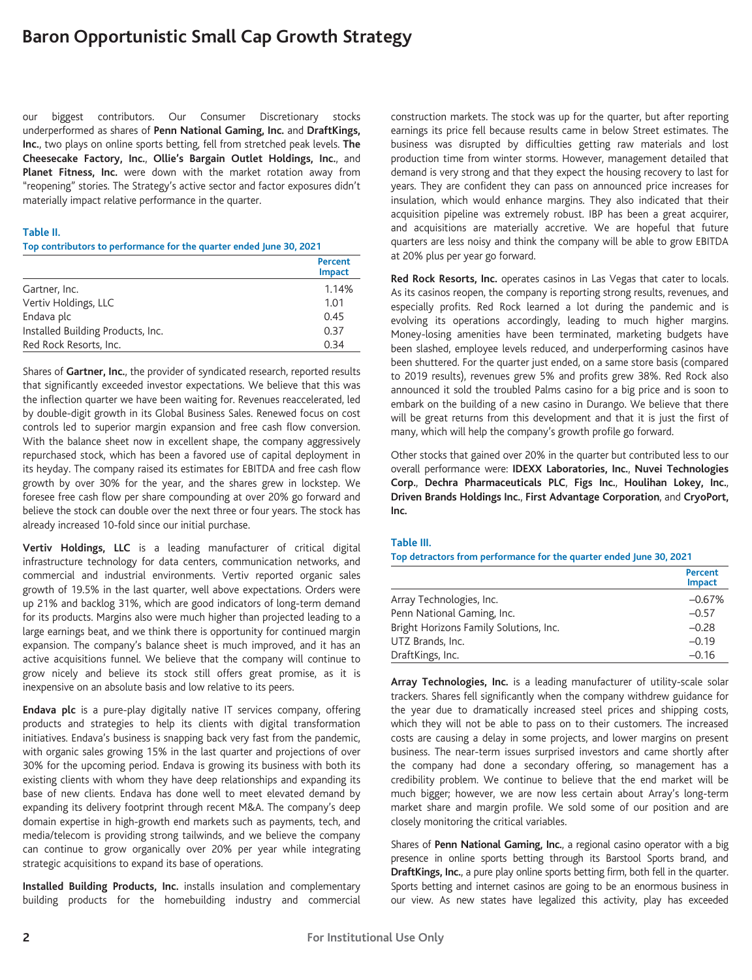our biggest contributors. Our Consumer Discretionary stocks underperformed as shares of **Penn National Gaming, Inc.** and **DraftKings, Inc.**, two plays on online sports betting, fell from stretched peak levels. **The Cheesecake Factory, Inc.**, **Ollie's Bargain Outlet Holdings, Inc.**, and **Planet Fitness, Inc.** were down with the market rotation away from "reopening" stories. The Strategy's active sector and factor exposures didn't materially impact relative performance in the quarter.

#### **Table II.**

**Top contributors to performance for the quarter ended June 30, 2021**

|                                   | Percent<br><b>Impact</b> |
|-----------------------------------|--------------------------|
| Gartner, Inc.                     | 1.14%                    |
| Vertiv Holdings, LLC              | 1.01                     |
| Endava plc                        | 0.45                     |
| Installed Building Products, Inc. | 0.37                     |
| Red Rock Resorts, Inc.            | 0.34                     |

Shares of **Gartner, Inc.**, the provider of syndicated research, reported results that significantly exceeded investor expectations. We believe that this was the inflection quarter we have been waiting for. Revenues reaccelerated, led by double-digit growth in its Global Business Sales. Renewed focus on cost controls led to superior margin expansion and free cash flow conversion. With the balance sheet now in excellent shape, the company aggressively repurchased stock, which has been a favored use of capital deployment in its heyday. The company raised its estimates for EBITDA and free cash flow growth by over 30% for the year, and the shares grew in lockstep. We foresee free cash flow per share compounding at over 20% go forward and believe the stock can double over the next three or four years. The stock has already increased 10-fold since our initial purchase.

**Vertiv Holdings, LLC** is a leading manufacturer of critical digital infrastructure technology for data centers, communication networks, and commercial and industrial environments. Vertiv reported organic sales growth of 19.5% in the last quarter, well above expectations. Orders were up 21% and backlog 31%, which are good indicators of long-term demand for its products. Margins also were much higher than projected leading to a large earnings beat, and we think there is opportunity for continued margin expansion. The company's balance sheet is much improved, and it has an active acquisitions funnel. We believe that the company will continue to grow nicely and believe its stock still offers great promise, as it is inexpensive on an absolute basis and low relative to its peers.

**Endava plc** is a pure-play digitally native IT services company, offering products and strategies to help its clients with digital transformation initiatives. Endava's business is snapping back very fast from the pandemic, with organic sales growing 15% in the last quarter and projections of over 30% for the upcoming period. Endava is growing its business with both its existing clients with whom they have deep relationships and expanding its base of new clients. Endava has done well to meet elevated demand by expanding its delivery footprint through recent M&A. The company's deep domain expertise in high-growth end markets such as payments, tech, and media/telecom is providing strong tailwinds, and we believe the company can continue to grow organically over 20% per year while integrating strategic acquisitions to expand its base of operations.

**Installed Building Products, Inc.** installs insulation and complementary building products for the homebuilding industry and commercial construction markets. The stock was up for the quarter, but after reporting earnings its price fell because results came in below Street estimates. The business was disrupted by difficulties getting raw materials and lost production time from winter storms. However, management detailed that demand is very strong and that they expect the housing recovery to last for years. They are confident they can pass on announced price increases for insulation, which would enhance margins. They also indicated that their acquisition pipeline was extremely robust. IBP has been a great acquirer, and acquisitions are materially accretive. We are hopeful that future quarters are less noisy and think the company will be able to grow EBITDA at 20% plus per year go forward.

**Red Rock Resorts, Inc.** operates casinos in Las Vegas that cater to locals. As its casinos reopen, the company is reporting strong results, revenues, and especially profits. Red Rock learned a lot during the pandemic and is evolving its operations accordingly, leading to much higher margins. Money-losing amenities have been terminated, marketing budgets have been slashed, employee levels reduced, and underperforming casinos have been shuttered. For the quarter just ended, on a same store basis (compared to 2019 results), revenues grew 5% and profits grew 38%. Red Rock also announced it sold the troubled Palms casino for a big price and is soon to embark on the building of a new casino in Durango. We believe that there will be great returns from this development and that it is just the first of many, which will help the company's growth profile go forward.

Other stocks that gained over 20% in the quarter but contributed less to our overall performance were: **IDEXX Laboratories, Inc.**, **Nuvei Technologies Corp.**, **Dechra Pharmaceuticals PLC**, **Figs Inc.**, **Houlihan Lokey, Inc.**, **Driven Brands Holdings Inc.**, **First Advantage Corporation**, and **CryoPort, Inc.**

#### **Table III.**

**Top detractors from performance for the quarter ended June 30, 2021**

|                                        | Percent<br><b>Impact</b> |
|----------------------------------------|--------------------------|
| Array Technologies, Inc.               | $-0.67%$                 |
| Penn National Gaming, Inc.             | $-0.57$                  |
| Bright Horizons Family Solutions, Inc. | $-0.28$                  |
| UTZ Brands, Inc.                       | $-0.19$                  |
| DraftKings, Inc.                       | $-0.16$                  |

**Array Technologies, Inc.** is a leading manufacturer of utility-scale solar trackers. Shares fell significantly when the company withdrew guidance for the year due to dramatically increased steel prices and shipping costs, which they will not be able to pass on to their customers. The increased costs are causing a delay in some projects, and lower margins on present business. The near-term issues surprised investors and came shortly after the company had done a secondary offering, so management has a credibility problem. We continue to believe that the end market will be much bigger; however, we are now less certain about Array's long-term market share and margin profile. We sold some of our position and are closely monitoring the critical variables.

Shares of **Penn National Gaming, Inc.**, a regional casino operator with a big presence in online sports betting through its Barstool Sports brand, and **DraftKings, Inc.**, a pure play online sports betting firm, both fell in the quarter. Sports betting and internet casinos are going to be an enormous business in our view. As new states have legalized this activity, play has exceeded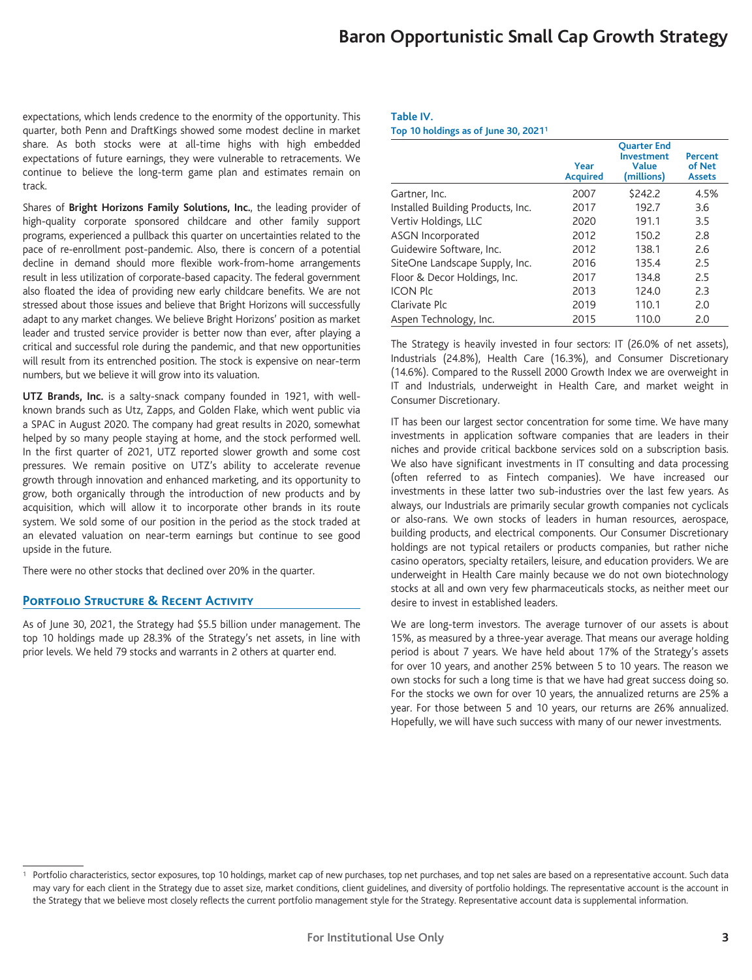expectations, which lends credence to the enormity of the opportunity. This quarter, both Penn and DraftKings showed some modest decline in market share. As both stocks were at all-time highs with high embedded expectations of future earnings, they were vulnerable to retracements. We continue to believe the long-term game plan and estimates remain on track.

Shares of **Bright Horizons Family Solutions, Inc.**, the leading provider of high-quality corporate sponsored childcare and other family support programs, experienced a pullback this quarter on uncertainties related to the pace of re-enrollment post-pandemic. Also, there is concern of a potential decline in demand should more flexible work-from-home arrangements result in less utilization of corporate-based capacity. The federal government also floated the idea of providing new early childcare benefits. We are not stressed about those issues and believe that Bright Horizons will successfully adapt to any market changes. We believe Bright Horizons' position as market leader and trusted service provider is better now than ever, after playing a critical and successful role during the pandemic, and that new opportunities will result from its entrenched position. The stock is expensive on near-term numbers, but we believe it will grow into its valuation.

**UTZ Brands, Inc.** is a salty-snack company founded in 1921, with wellknown brands such as Utz, Zapps, and Golden Flake, which went public via a SPAC in August 2020. The company had great results in 2020, somewhat helped by so many people staying at home, and the stock performed well. In the first quarter of 2021, UTZ reported slower growth and some cost pressures. We remain positive on UTZ's ability to accelerate revenue growth through innovation and enhanced marketing, and its opportunity to grow, both organically through the introduction of new products and by acquisition, which will allow it to incorporate other brands in its route system. We sold some of our position in the period as the stock traded at an elevated valuation on near-term earnings but continue to see good upside in the future.

There were no other stocks that declined over 20% in the quarter.

#### **Portfolio Structure & Recent Activity**

As of June 30, 2021, the Strategy had \$5.5 billion under management. The top 10 holdings made up 28.3% of the Strategy's net assets, in line with prior levels. We held 79 stocks and warrants in 2 others at quarter end.

#### **Table IV.**

**Top 10 holdings as of June 30, 20211**

|                                   | Year<br><b>Acquired</b> | <b>Ouarter End</b><br><b>Investment</b><br><b>Value</b><br>(millions) | Percent<br>of Net<br><b>Assets</b> |
|-----------------------------------|-------------------------|-----------------------------------------------------------------------|------------------------------------|
| Gartner, Inc.                     | 2007                    | \$242.2                                                               | 4.5%                               |
| Installed Building Products, Inc. | 2017                    | 192.7                                                                 | 3.6                                |
| Vertiv Holdings, LLC              | 2020                    | 191.1                                                                 | 3.5                                |
| <b>ASGN Incorporated</b>          | 2012                    | 150.2                                                                 | 2.8                                |
| Guidewire Software, Inc.          | 2012                    | 138.1                                                                 | 2.6                                |
| SiteOne Landscape Supply, Inc.    | 2016                    | 135.4                                                                 | 2.5                                |
| Floor & Decor Holdings, Inc.      | 2017                    | 134.8                                                                 | 2.5                                |
| <b>ICON Plc</b>                   | 2013                    | 124.0                                                                 | 2.3                                |
| Clarivate Plc                     | 2019                    | 110.1                                                                 | 2.0                                |
| Aspen Technology, Inc.            | 2015                    | 110.0                                                                 | 2.0                                |

The Strategy is heavily invested in four sectors: IT (26.0% of net assets), Industrials (24.8%), Health Care (16.3%), and Consumer Discretionary (14.6%). Compared to the Russell 2000 Growth Index we are overweight in IT and Industrials, underweight in Health Care, and market weight in Consumer Discretionary.

IT has been our largest sector concentration for some time. We have many investments in application software companies that are leaders in their niches and provide critical backbone services sold on a subscription basis. We also have significant investments in IT consulting and data processing (often referred to as Fintech companies). We have increased our investments in these latter two sub-industries over the last few years. As always, our Industrials are primarily secular growth companies not cyclicals or also-rans. We own stocks of leaders in human resources, aerospace, building products, and electrical components. Our Consumer Discretionary holdings are not typical retailers or products companies, but rather niche casino operators, specialty retailers, leisure, and education providers. We are underweight in Health Care mainly because we do not own biotechnology stocks at all and own very few pharmaceuticals stocks, as neither meet our desire to invest in established leaders.

We are long-term investors. The average turnover of our assets is about 15%, as measured by a three-year average. That means our average holding period is about 7 years. We have held about 17% of the Strategy's assets for over 10 years, and another 25% between 5 to 10 years. The reason we own stocks for such a long time is that we have had great success doing so. For the stocks we own for over 10 years, the annualized returns are 25% a year. For those between 5 and 10 years, our returns are 26% annualized. Hopefully, we will have such success with many of our newer investments.

<sup>&</sup>lt;sup>1</sup> Portfolio characteristics, sector exposures, top 10 holdings, market cap of new purchases, top net purchases, and top net sales are based on a representative account. Such data may vary for each client in the Strategy due to asset size, market conditions, client guidelines, and diversity of portfolio holdings. The representative account is the account in the Strategy that we believe most closely reflects the current portfolio management style for the Strategy. Representative account data is supplemental information.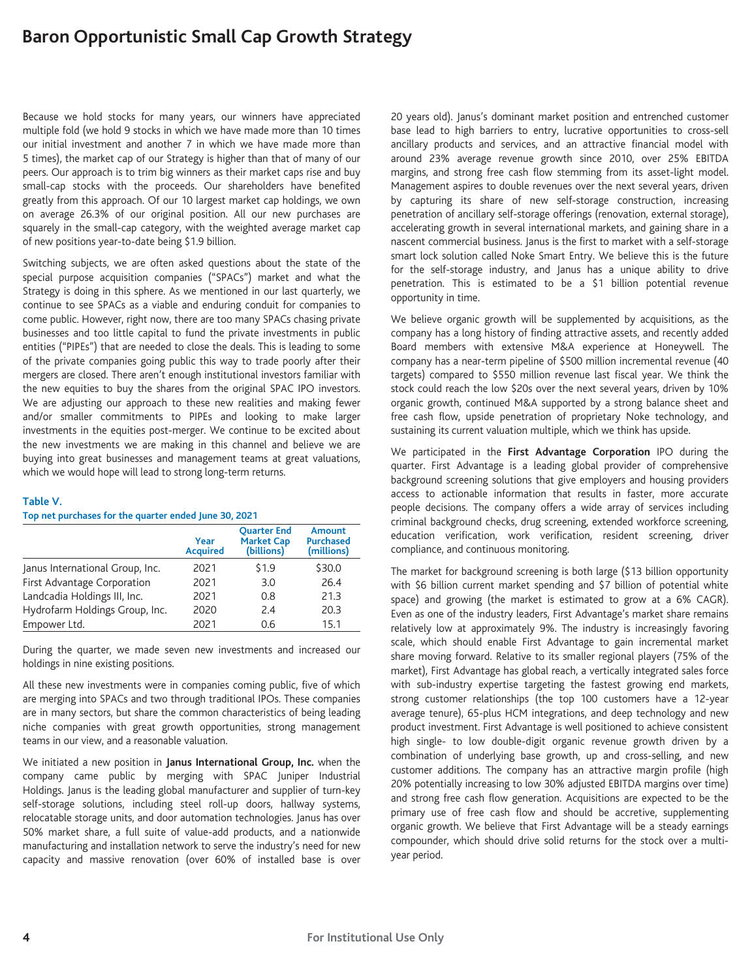Because we hold stocks for many years, our winners have appreciated multiple fold (we hold 9 stocks in which we have made more than 10 times our initial investment and another 7 in which we have made more than 5 times), the market cap of our Strategy is higher than that of many of our peers. Our approach is to trim big winners as their market caps rise and buy small-cap stocks with the proceeds. Our shareholders have benefited greatly from this approach. Of our 10 largest market cap holdings, we own on average 26.3% of our original position. All our new purchases are squarely in the small-cap category, with the weighted average market cap of new positions year-to-date being \$1.9 billion.

Switching subjects, we are often asked questions about the state of the special purpose acquisition companies ("SPACs") market and what the Strategy is doing in this sphere. As we mentioned in our last quarterly, we continue to see SPACs as a viable and enduring conduit for companies to come public. However, right now, there are too many SPACs chasing private businesses and too little capital to fund the private investments in public entities ("PIPEs") that are needed to close the deals. This is leading to some of the private companies going public this way to trade poorly after their mergers are closed. There aren't enough institutional investors familiar with the new equities to buy the shares from the original SPAC IPO investors. We are adjusting our approach to these new realities and making fewer and/or smaller commitments to PIPEs and looking to make larger investments in the equities post-merger. We continue to be excited about the new investments we are making in this channel and believe we are buying into great businesses and management teams at great valuations, which we would hope will lead to strong long-term returns.

#### **Table V.**

#### **Top net purchases for the quarter ended June 30, 2021**

|                                 | Year<br><b>Acquired</b> | <b>Ouarter End</b><br><b>Market Cap</b><br>(billions) | <b>Amount</b><br><b>Purchased</b><br>(millions) |
|---------------------------------|-------------------------|-------------------------------------------------------|-------------------------------------------------|
| Janus International Group, Inc. | 2021                    | \$1.9                                                 | \$30.0                                          |
| First Advantage Corporation     | 2021                    | 3.0                                                   | 26.4                                            |
| Landcadia Holdings III, Inc.    | 2021                    | 0.8                                                   | 21.3                                            |
| Hydrofarm Holdings Group, Inc.  | 2020                    | 2.4                                                   | 20.3                                            |
| Empower Ltd.                    | 2021                    | 0.6                                                   | 15.1                                            |

During the quarter, we made seven new investments and increased our holdings in nine existing positions.

All these new investments were in companies coming public, five of which are merging into SPACs and two through traditional IPOs. These companies are in many sectors, but share the common characteristics of being leading niche companies with great growth opportunities, strong management teams in our view, and a reasonable valuation.

We initiated a new position in **Janus International Group, Inc.** when the company came public by merging with SPAC Juniper Industrial Holdings. Janus is the leading global manufacturer and supplier of turn-key self-storage solutions, including steel roll-up doors, hallway systems, relocatable storage units, and door automation technologies. Janus has over 50% market share, a full suite of value-add products, and a nationwide manufacturing and installation network to serve the industry's need for new capacity and massive renovation (over 60% of installed base is over

20 years old). Janus's dominant market position and entrenched customer base lead to high barriers to entry, lucrative opportunities to cross-sell ancillary products and services, and an attractive financial model with around 23% average revenue growth since 2010, over 25% EBITDA margins, and strong free cash flow stemming from its asset-light model. Management aspires to double revenues over the next several years, driven by capturing its share of new self-storage construction, increasing penetration of ancillary self-storage offerings (renovation, external storage), accelerating growth in several international markets, and gaining share in a nascent commercial business. Janus is the first to market with a self-storage smart lock solution called Noke Smart Entry. We believe this is the future for the self-storage industry, and Janus has a unique ability to drive penetration. This is estimated to be a \$1 billion potential revenue opportunity in time.

We believe organic growth will be supplemented by acquisitions, as the company has a long history of finding attractive assets, and recently added Board members with extensive M&A experience at Honeywell. The company has a near-term pipeline of \$500 million incremental revenue (40 targets) compared to \$550 million revenue last fiscal year. We think the stock could reach the low \$20s over the next several years, driven by 10% organic growth, continued M&A supported by a strong balance sheet and free cash flow, upside penetration of proprietary Noke technology, and sustaining its current valuation multiple, which we think has upside.

We participated in the **First Advantage Corporation** IPO during the quarter. First Advantage is a leading global provider of comprehensive background screening solutions that give employers and housing providers access to actionable information that results in faster, more accurate people decisions. The company offers a wide array of services including criminal background checks, drug screening, extended workforce screening, education verification, work verification, resident screening, driver compliance, and continuous monitoring.

The market for background screening is both large (\$13 billion opportunity with \$6 billion current market spending and \$7 billion of potential white space) and growing (the market is estimated to grow at a 6% CAGR). Even as one of the industry leaders, First Advantage's market share remains relatively low at approximately 9%. The industry is increasingly favoring scale, which should enable First Advantage to gain incremental market share moving forward. Relative to its smaller regional players (75% of the market), First Advantage has global reach, a vertically integrated sales force with sub-industry expertise targeting the fastest growing end markets, strong customer relationships (the top 100 customers have a 12-year average tenure), 65-plus HCM integrations, and deep technology and new product investment. First Advantage is well positioned to achieve consistent high single- to low double-digit organic revenue growth driven by a combination of underlying base growth, up and cross-selling, and new customer additions. The company has an attractive margin profile (high 20% potentially increasing to low 30% adjusted EBITDA margins over time) and strong free cash flow generation. Acquisitions are expected to be the primary use of free cash flow and should be accretive, supplementing organic growth. We believe that First Advantage will be a steady earnings compounder, which should drive solid returns for the stock over a multiyear period.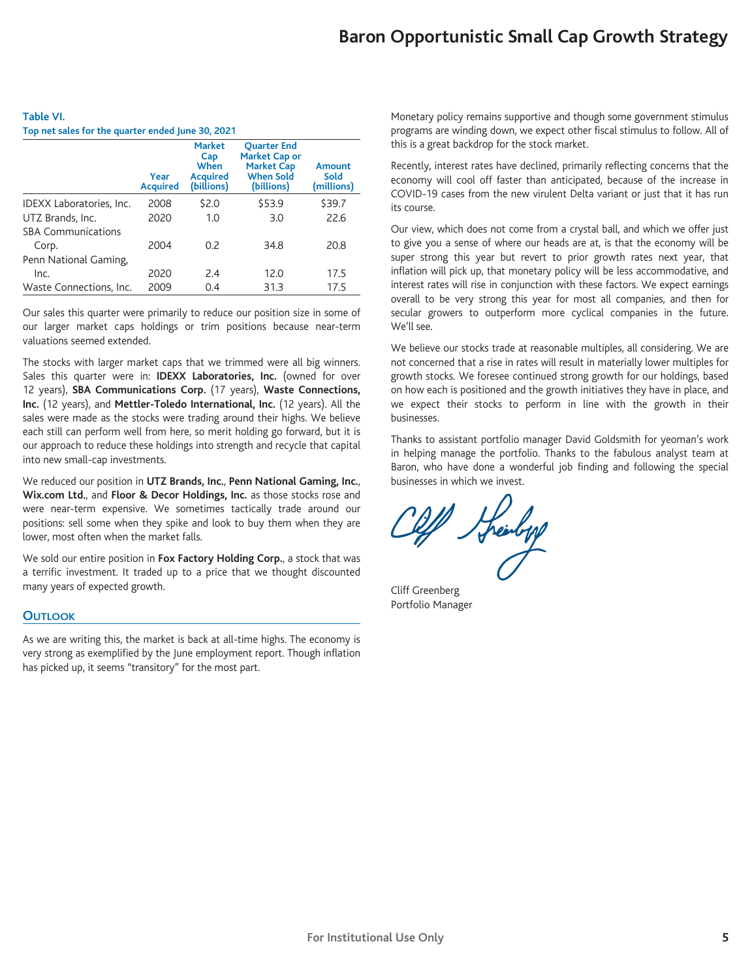| Table VI.                                         |  |
|---------------------------------------------------|--|
| Top net sales for the quarter ended June 30, 2021 |  |

|                           | Year<br><b>Acquired</b> | <b>Market</b><br>Cap<br>When<br><b>Acquired</b><br>(billions) | <b>Ouarter End</b><br><b>Market Cap or</b><br><b>Market Cap</b><br><b>When Sold</b><br>(billions) | Amount<br>Sold<br>(millions) |
|---------------------------|-------------------------|---------------------------------------------------------------|---------------------------------------------------------------------------------------------------|------------------------------|
| IDEXX Laboratories, Inc.  | 2008                    | \$2.0                                                         | \$53.9                                                                                            | \$39.7                       |
| UTZ Brands, Inc.          | 2020                    | 1.0                                                           | 3.0                                                                                               | 22.6                         |
| <b>SBA Communications</b> |                         |                                                               |                                                                                                   |                              |
| Corp.                     | 2004                    | 0.2                                                           | 34.8                                                                                              | 20.8                         |
| Penn National Gaming,     |                         |                                                               |                                                                                                   |                              |
| Inc.                      | 2020                    | 2.4                                                           | 12.0                                                                                              | 17.5                         |
| Waste Connections, Inc.   | 2009                    | 0.4                                                           | 31.3                                                                                              | 17.5                         |

Our sales this quarter were primarily to reduce our position size in some of our larger market caps holdings or trim positions because near-term valuations seemed extended.

The stocks with larger market caps that we trimmed were all big winners. Sales this quarter were in: **IDEXX Laboratories, Inc.** (owned for over 12 years), **SBA Communications Corp.** (17 years), **Waste Connections, Inc.** (12 years), and **Mettler-Toledo International, Inc.** (12 years). All the sales were made as the stocks were trading around their highs. We believe each still can perform well from here, so merit holding go forward, but it is our approach to reduce these holdings into strength and recycle that capital into new small-cap investments.

We reduced our position in **UTZ Brands, Inc.**, **Penn National Gaming, Inc.**, **Wix.com Ltd.**, and **Floor & Decor Holdings, Inc.** as those stocks rose and were near-term expensive. We sometimes tactically trade around our positions: sell some when they spike and look to buy them when they are lower, most often when the market falls.

We sold our entire position in **Fox Factory Holding Corp.**, a stock that was a terrific investment. It traded up to a price that we thought discounted many years of expected growth.

## **OUTLOOK**

As we are writing this, the market is back at all-time highs. The economy is very strong as exemplified by the June employment report. Though inflation has picked up, it seems "transitory" for the most part.

Monetary policy remains supportive and though some government stimulus programs are winding down, we expect other fiscal stimulus to follow. All of this is a great backdrop for the stock market.

Recently, interest rates have declined, primarily reflecting concerns that the economy will cool off faster than anticipated, because of the increase in COVID-19 cases from the new virulent Delta variant or just that it has run its course.

Our view, which does not come from a crystal ball, and which we offer just to give you a sense of where our heads are at, is that the economy will be super strong this year but revert to prior growth rates next year, that inflation will pick up, that monetary policy will be less accommodative, and interest rates will rise in conjunction with these factors. We expect earnings overall to be very strong this year for most all companies, and then for secular growers to outperform more cyclical companies in the future. We'll see.

We believe our stocks trade at reasonable multiples, all considering. We are not concerned that a rise in rates will result in materially lower multiples for growth stocks. We foresee continued strong growth for our holdings, based on how each is positioned and the growth initiatives they have in place, and we expect their stocks to perform in line with the growth in their businesses.

Thanks to assistant portfolio manager David Goldsmith for yeoman's work in helping manage the portfolio. Thanks to the fabulous analyst team at Baron, who have done a wonderful job finding and following the special businesses in which we invest.

W Streeting

Cliff Greenberg Portfolio Manager